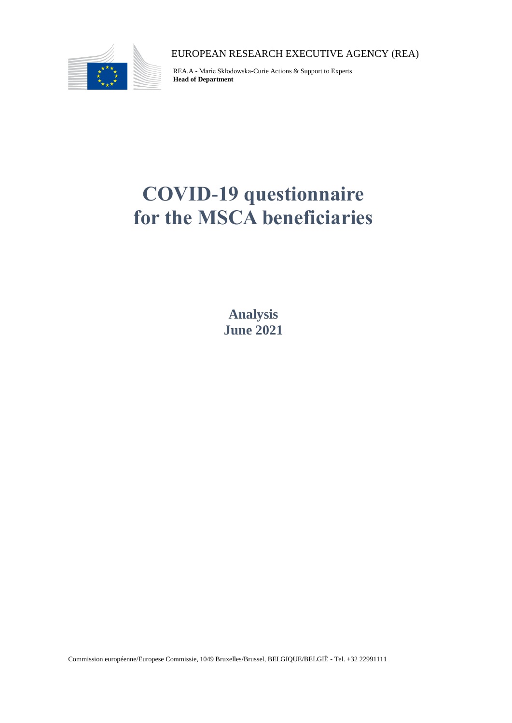

EUROPEAN RESEARCH EXECUTIVE AGENCY (REA)

REA.A - Marie Skłodowska-Curie Actions & Support to Experts **Head of Department**

# **COVID-19 questionnaire for the MSCA beneficiaries**

**Analysis June 2021**

Commission européenne/Europese Commissie, 1049 Bruxelles/Brussel, BELGIQUE/BELGIË - Tel. +32 22991111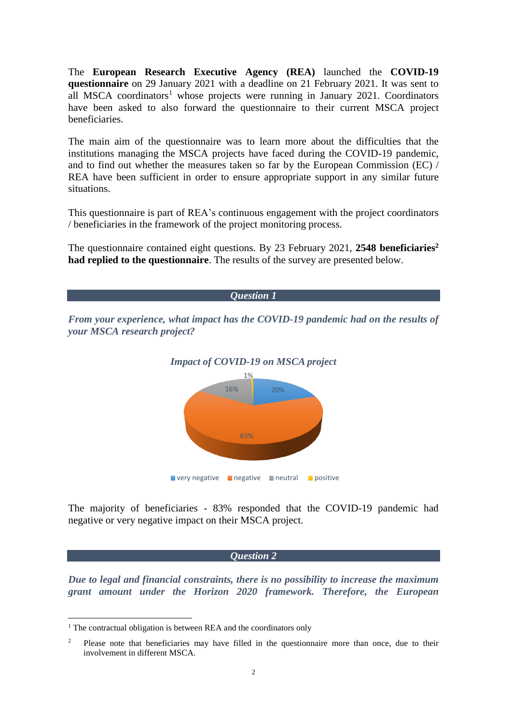The **European Research Executive Agency (REA)** launched the **COVID-19 questionnaire** on 29 January 2021 with a deadline on 21 February 2021. It was sent to all MSCA coordinators<sup>1</sup> whose projects were running in January 2021. Coordinators have been asked to also forward the questionnaire to their current MSCA project beneficiaries.

The main aim of the questionnaire was to learn more about the difficulties that the institutions managing the MSCA projects have faced during the COVID-19 pandemic, and to find out whether the measures taken so far by the European Commission (EC) / REA have been sufficient in order to ensure appropriate support in any similar future situations.

This questionnaire is part of REA's continuous engagement with the project coordinators / beneficiaries in the framework of the project monitoring process.

The questionnaire contained eight questions. By 23 February 2021, **2548 beneficiaries<sup>2</sup> had replied to the questionnaire**. The results of the survey are presented below.



negative or very negative impact on their MSCA project.

*Question 2*

*Due to legal and financial constraints, there is no possibility to increase the maximum grant amount under the Horizon 2020 framework. Therefore, the European* 

 $1$  The contractual obligation is between REA and the coordinators only

<sup>2</sup> Please note that beneficiaries may have filled in the questionnaire more than once, due to their involvement in different MSCA.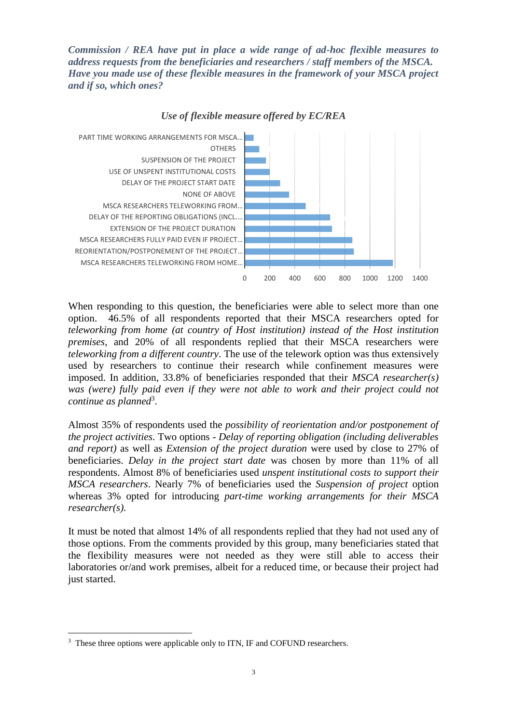*Commission / REA have put in place a wide range of ad-hoc flexible measures to address requests from the beneficiaries and researchers / staff members of the MSCA. Have you made use of these flexible measures in the framework of your MSCA project and if so, which ones?*



*Use of flexible measure offered by EC/REA*

When responding to this question, the beneficiaries were able to select more than one option. 46.5% of all respondents reported that their MSCA researchers opted for *teleworking from home (at country of Host institution) instead of the Host institution premises*, and 20% of all respondents replied that their MSCA researchers were *teleworking from a different country*. The use of the telework option was thus extensively used by researchers to continue their research while confinement measures were imposed. In addition, 33.8% of beneficiaries responded that their *MSCA researcher(s) was (were) fully paid even if they were not able to work and their project could not continue as planned*<sup>3</sup> .

Almost 35% of respondents used the *possibility of reorientation and/or postponement of the project activities*. Two options - *Delay of reporting obligation (including deliverables and report)* as well as *Extension of the project duration* were used by close to 27% of beneficiaries. *Delay in the project start date* was chosen by more than 11% of all respondents. Almost 8% of beneficiaries used *unspent institutional costs to support their MSCA researchers*. Nearly 7% of beneficiaries used the *Suspension of project* option whereas 3% opted for introducing *part-time working arrangements for their MSCA researcher(s).*

It must be noted that almost 14% of all respondents replied that they had not used any of those options. From the comments provided by this group, many beneficiaries stated that the flexibility measures were not needed as they were still able to access their laboratories or/and work premises, albeit for a reduced time, or because their project had just started.

<sup>&</sup>lt;sup>3</sup> These three options were applicable only to ITN, IF and COFUND researchers.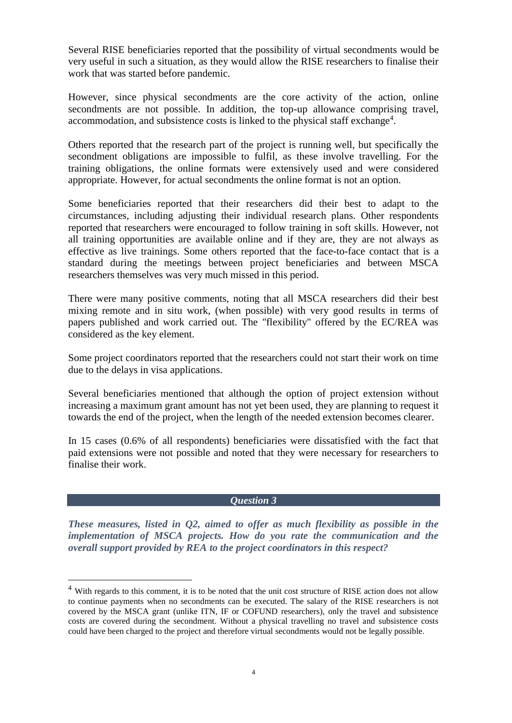Several RISE beneficiaries reported that the possibility of virtual secondments would be very useful in such a situation, as they would allow the RISE researchers to finalise their work that was started before pandemic.

However, since physical secondments are the core activity of the action, online secondments are not possible. In addition, the top-up allowance comprising travel, accommodation, and subsistence costs is linked to the physical staff exchange<sup>4</sup>.

Others reported that the research part of the project is running well, but specifically the secondment obligations are impossible to fulfil, as these involve travelling. For the training obligations, the online formats were extensively used and were considered appropriate. However, for actual secondments the online format is not an option.

Some beneficiaries reported that their researchers did their best to adapt to the circumstances, including adjusting their individual research plans. Other respondents reported that researchers were encouraged to follow training in soft skills. However, not all training opportunities are available online and if they are, they are not always as effective as live trainings. Some others reported that the face-to-face contact that is a standard during the meetings between project beneficiaries and between MSCA researchers themselves was very much missed in this period.

There were many positive comments, noting that all MSCA researchers did their best mixing remote and in situ work, (when possible) with very good results in terms of papers published and work carried out. The "flexibility" offered by the EC/REA was considered as the key element.

Some project coordinators reported that the researchers could not start their work on time due to the delays in visa applications.

Several beneficiaries mentioned that although the option of project extension without increasing a maximum grant amount has not yet been used, they are planning to request it towards the end of the project, when the length of the needed extension becomes clearer.

In 15 cases (0.6% of all respondents) beneficiaries were dissatisfied with the fact that paid extensions were not possible and noted that they were necessary for researchers to finalise their work.

### *Question 3*

*These measures, listed in Q2, aimed to offer as much flexibility as possible in the implementation of MSCA projects. How do you rate the communication and the overall support provided by REA to the project coordinators in this respect?*

<sup>&</sup>lt;sup>4</sup> With regards to this comment, it is to be noted that the unit cost structure of RISE action does not allow to continue payments when no secondments can be executed. The salary of the RISE researchers is not covered by the MSCA grant (unlike ITN, IF or COFUND researchers), only the travel and subsistence costs are covered during the secondment. Without a physical travelling no travel and subsistence costs could have been charged to the project and therefore virtual secondments would not be legally possible.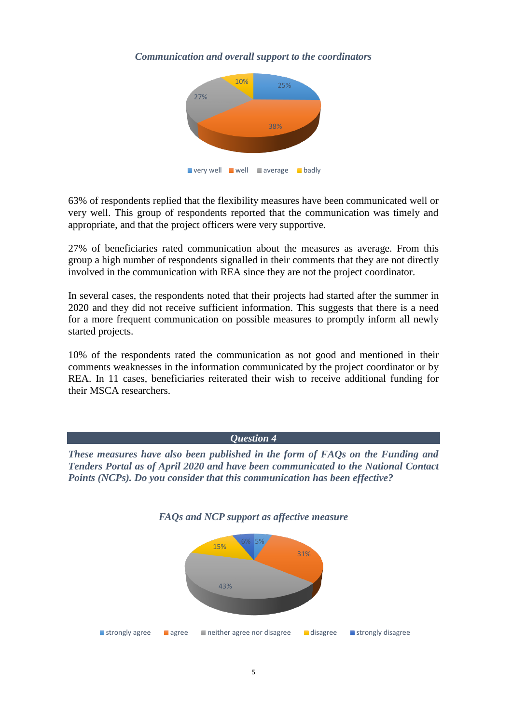## *Communication and overall support to the coordinators*



63% of respondents replied that the flexibility measures have been communicated well or very well. This group of respondents reported that the communication was timely and appropriate, and that the project officers were very supportive.

27% of beneficiaries rated communication about the measures as average. From this group a high number of respondents signalled in their comments that they are not directly involved in the communication with REA since they are not the project coordinator.

In several cases, the respondents noted that their projects had started after the summer in 2020 and they did not receive sufficient information. This suggests that there is a need for a more frequent communication on possible measures to promptly inform all newly started projects.

10% of the respondents rated the communication as not good and mentioned in their comments weaknesses in the information communicated by the project coordinator or by REA. In 11 cases, beneficiaries reiterated their wish to receive additional funding for their MSCA researchers.

*Question 4*

*These measures have also been published in the form of FAQs on the Funding and Tenders Portal as of April 2020 and have been communicated to the National Contact Points (NCPs). Do you consider that this communication has been effective?*



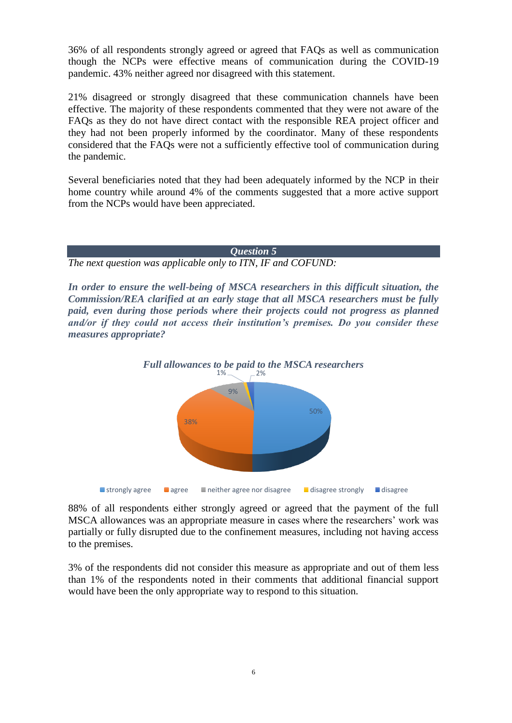36% of all respondents strongly agreed or agreed that FAQs as well as communication though the NCPs were effective means of communication during the COVID-19 pandemic. 43% neither agreed nor disagreed with this statement.

21% disagreed or strongly disagreed that these communication channels have been effective. The majority of these respondents commented that they were not aware of the FAQs as they do not have direct contact with the responsible REA project officer and they had not been properly informed by the coordinator. Many of these respondents considered that the FAQs were not a sufficiently effective tool of communication during the pandemic.

Several beneficiaries noted that they had been adequately informed by the NCP in their home country while around 4% of the comments suggested that a more active support from the NCPs would have been appreciated.

### *Question 5*

*The next question was applicable only to ITN, IF and COFUND:*

*In order to ensure the well-being of MSCA researchers in this difficult situation, the Commission/REA clarified at an early stage that all MSCA researchers must be fully paid, even during those periods where their projects could not progress as planned and/or if they could not access their institution's premises. Do you consider these measures appropriate?*



88% of all respondents either strongly agreed or agreed that the payment of the full MSCA allowances was an appropriate measure in cases where the researchers' work was partially or fully disrupted due to the confinement measures, including not having access to the premises.

3% of the respondents did not consider this measure as appropriate and out of them less than 1% of the respondents noted in their comments that additional financial support would have been the only appropriate way to respond to this situation.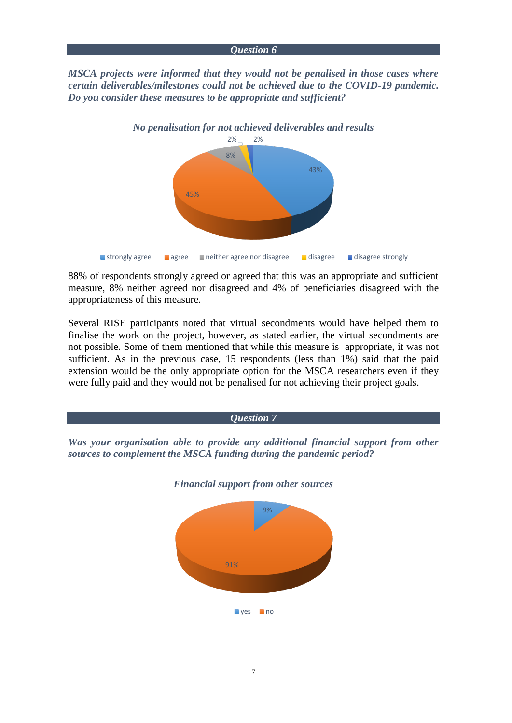#### *Question 6*

*MSCA projects were informed that they would not be penalised in those cases where certain deliverables/milestones could not be achieved due to the COVID-19 pandemic. Do you consider these measures to be appropriate and sufficient?*



88% of respondents strongly agreed or agreed that this was an appropriate and sufficient measure, 8% neither agreed nor disagreed and 4% of beneficiaries disagreed with the appropriateness of this measure.

Several RISE participants noted that virtual secondments would have helped them to finalise the work on the project, however, as stated earlier, the virtual secondments are not possible. Some of them mentioned that while this measure is appropriate, it was not sufficient. As in the previous case, 15 respondents (less than 1%) said that the paid extension would be the only appropriate option for the MSCA researchers even if they were fully paid and they would not be penalised for not achieving their project goals.



ves no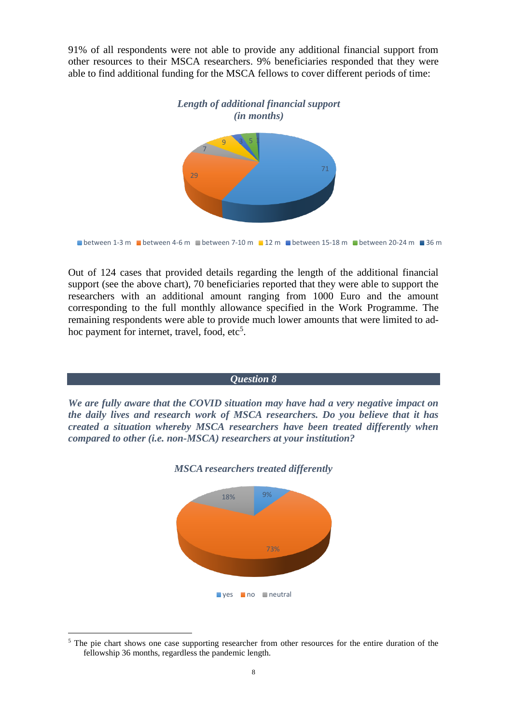91% of all respondents were not able to provide any additional financial support from other resources to their MSCA researchers. 9% beneficiaries responded that they were able to find additional funding for the MSCA fellows to cover different periods of time:



**D**etween 1-3 m **b**etween 4-6 m **b**etween 7-10 m 12 m **b**etween 15-18 m **between 20-24 m** 36 m

Out of 124 cases that provided details regarding the length of the additional financial support (see the above chart), 70 beneficiaries reported that they were able to support the researchers with an additional amount ranging from 1000 Euro and the amount corresponding to the full monthly allowance specified in the Work Programme. The remaining respondents were able to provide much lower amounts that were limited to adhoc payment for internet, travel, food, etc<sup>5</sup>.



ves no neutral

73%

<sup>&</sup>lt;sup>5</sup> The pie chart shows one case supporting researcher from other resources for the entire duration of the fellowship 36 months, regardless the pandemic length.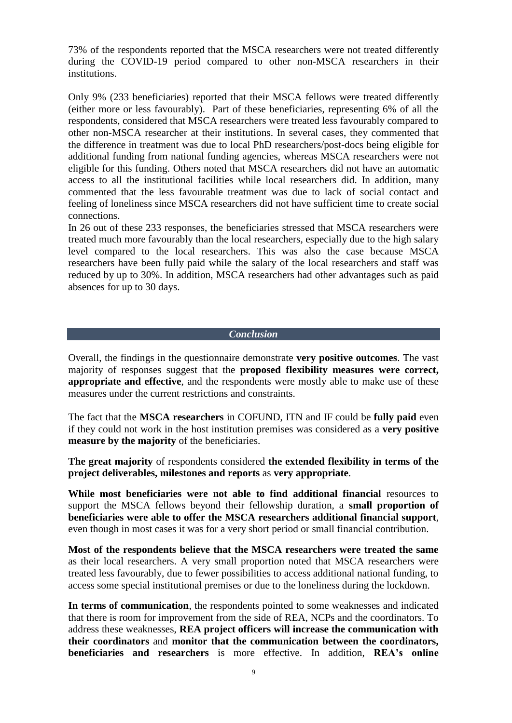73% of the respondents reported that the MSCA researchers were not treated differently during the COVID-19 period compared to other non-MSCA researchers in their institutions.

Only 9% (233 beneficiaries) reported that their MSCA fellows were treated differently (either more or less favourably). Part of these beneficiaries, representing 6% of all the respondents, considered that MSCA researchers were treated less favourably compared to other non-MSCA researcher at their institutions. In several cases, they commented that the difference in treatment was due to local PhD researchers/post-docs being eligible for additional funding from national funding agencies, whereas MSCA researchers were not eligible for this funding. Others noted that MSCA researchers did not have an automatic access to all the institutional facilities while local researchers did. In addition, many commented that the less favourable treatment was due to lack of social contact and feeling of loneliness since MSCA researchers did not have sufficient time to create social connections.

In 26 out of these 233 responses, the beneficiaries stressed that MSCA researchers were treated much more favourably than the local researchers, especially due to the high salary level compared to the local researchers. This was also the case because MSCA researchers have been fully paid while the salary of the local researchers and staff was reduced by up to 30%. In addition, MSCA researchers had other advantages such as paid absences for up to 30 days.

### *Conclusion*

Overall, the findings in the questionnaire demonstrate **very positive outcomes**. The vast majority of responses suggest that the **proposed flexibility measures were correct, appropriate and effective**, and the respondents were mostly able to make use of these measures under the current restrictions and constraints.

The fact that the **MSCA researchers** in COFUND, ITN and IF could be **fully paid** even if they could not work in the host institution premises was considered as a **very positive measure by the majority** of the beneficiaries.

**The great majority** of respondents considered **the extended flexibility in terms of the project deliverables, milestones and reports** as **very appropriate**.

**While most beneficiaries were not able to find additional financial** resources to support the MSCA fellows beyond their fellowship duration, a **small proportion of beneficiaries were able to offer the MSCA researchers additional financial support**, even though in most cases it was for a very short period or small financial contribution.

**Most of the respondents believe that the MSCA researchers were treated the same** as their local researchers. A very small proportion noted that MSCA researchers were treated less favourably, due to fewer possibilities to access additional national funding, to access some special institutional premises or due to the loneliness during the lockdown.

**In terms of communication**, the respondents pointed to some weaknesses and indicated that there is room for improvement from the side of REA, NCPs and the coordinators. To address these weaknesses, **REA project officers will increase the communication with their coordinators** and **monitor that the communication between the coordinators, beneficiaries and researchers** is more effective. In addition, **REA's online**